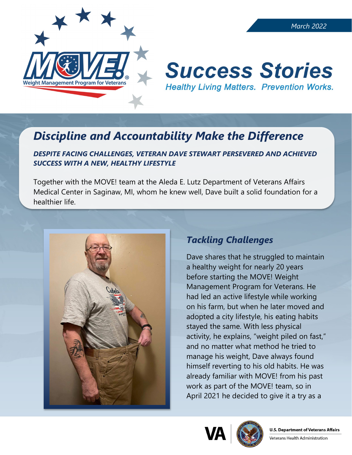

# **Success Stories Healthy Living Matters. Prevention Works.**

## *Discipline and Accountability Make the Difference*

#### *DESPITE FACING CHALLENGES, VETERAN DAVE STEWART PERSEVERED AND ACHIEVED SUCCESS WITH A NEW, HEALTHY LIFESTYLE*

Together with the MOVE! team at the Aleda E. Lutz Department of Veterans Affairs Medical Center in Saginaw, MI, whom he knew well, Dave built a solid foundation for a healthier life.



### *Tackling Challenges*

Dave shares that he struggled to maintain a healthy weight for nearly 20 years before starting the MOVE! Weight Management Program for Veterans. He had led an active lifestyle while working on his farm, but when he later moved and adopted a city lifestyle, his eating habits stayed the same. With less physical activity, he explains, "weight piled on fast," and no matter what method he tried to manage his weight, Dave always found himself reverting to his old habits. He was already familiar with MOVE! from his past work as part of the MOVE! team, so in April 2021 he decided to give it a try as a



Veterans Health Administration